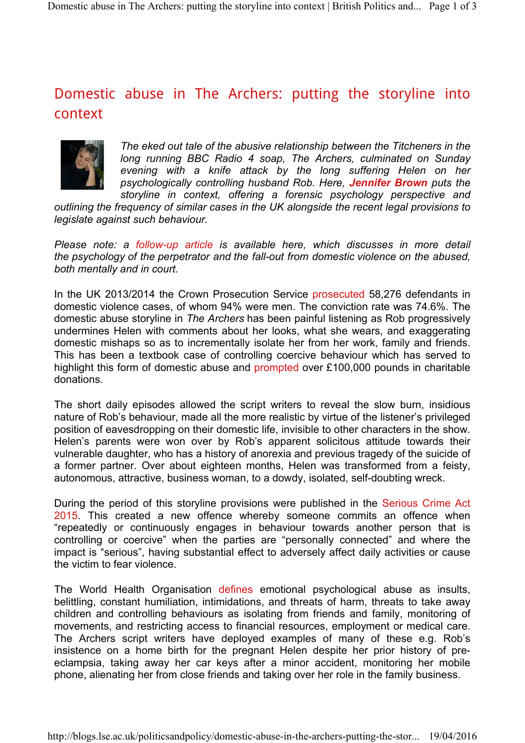## Domestic abuse in The Archers: putting the storyline into context



*The eked out tale of the abusive relationship between the Titcheners in the long running BBC Radio 4 soap, The Archers, culminated on Sunday evening with a knife attack by the long suffering Helen on her psychologically controlling husband Rob. Here, Jennifer Brown puts the storyline in context, offering a forensic psychology perspective and* 

*outlining the frequency of similar cases in the UK alongside the recent legal provisions to legislate against such behaviour.*

*Please note: a follow-up article is available here, which discusses in more detail the psychology of the perpetrator and the fall-out from domestic violence on the abused, both mentally and in court.* 

In the UK 2013/2014 the Crown Prosecution Service prosecuted 58,276 defendants in domestic violence cases, of whom 94% were men. The conviction rate was 74.6%. The domestic abuse storyline in *The Archers* has been painful listening as Rob progressively undermines Helen with comments about her looks, what she wears, and exaggerating domestic mishaps so as to incrementally isolate her from her work, family and friends. This has been a textbook case of controlling coercive behaviour which has served to highlight this form of domestic abuse and prompted over £100,000 pounds in charitable donations.

The short daily episodes allowed the script writers to reveal the slow burn, insidious nature of Rob's behaviour, made all the more realistic by virtue of the listener's privileged position of eavesdropping on their domestic life, invisible to other characters in the show. Helen's parents were won over by Rob's apparent solicitous attitude towards their vulnerable daughter, who has a history of anorexia and previous tragedy of the suicide of a former partner. Over about eighteen months, Helen was transformed from a feisty, autonomous, attractive, business woman, to a dowdy, isolated, self-doubting wreck.

During the period of this storyline provisions were published in the Serious Crime Act 2015. This created a new offence whereby someone commits an offence when "repeatedly or continuously engages in behaviour towards another person that is controlling or coercive" when the parties are "personally connected" and where the impact is "serious", having substantial effect to adversely affect daily activities or cause the victim to fear violence.

The World Health Organisation defines emotional psychological abuse as insults, belittling, constant humiliation, intimidations, and threats of harm, threats to take away children and controlling behaviours as isolating from friends and family, monitoring of movements, and restricting access to financial resources, employment or medical care. The Archers script writers have deployed examples of many of these e.g. Rob's insistence on a home birth for the pregnant Helen despite her prior history of preeclampsia, taking away her car keys after a minor accident, monitoring her mobile phone, alienating her from close friends and taking over her role in the family business.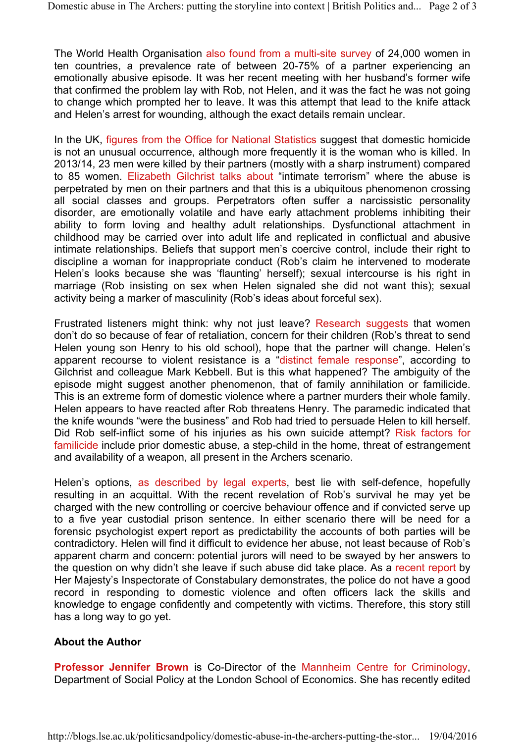The World Health Organisation also found from a multi-site survey of 24,000 women in ten countries, a prevalence rate of between 20-75% of a partner experiencing an emotionally abusive episode. It was her recent meeting with her husband's former wife that confirmed the problem lay with Rob, not Helen, and it was the fact he was not going to change which prompted her to leave. It was this attempt that lead to the knife attack and Helen's arrest for wounding, although the exact details remain unclear.

In the UK, figures from the Office for National Statistics suggest that domestic homicide is not an unusual occurrence, although more frequently it is the woman who is killed. In 2013/14, 23 men were killed by their partners (mostly with a sharp instrument) compared to 85 women. Elizabeth Gilchrist talks about "intimate terrorism" where the abuse is perpetrated by men on their partners and that this is a ubiquitous phenomenon crossing all social classes and groups. Perpetrators often suffer a narcissistic personality disorder, are emotionally volatile and have early attachment problems inhibiting their ability to form loving and healthy adult relationships. Dysfunctional attachment in childhood may be carried over into adult life and replicated in conflictual and abusive intimate relationships. Beliefs that support men's coercive control, include their right to discipline a woman for inappropriate conduct (Rob's claim he intervened to moderate Helen's looks because she was 'flaunting' herself); sexual intercourse is his right in marriage (Rob insisting on sex when Helen signaled she did not want this); sexual activity being a marker of masculinity (Rob's ideas about forceful sex).

Frustrated listeners might think: why not just leave? Research suggests that women don't do so because of fear of retaliation, concern for their children (Rob's threat to send Helen young son Henry to his old school), hope that the partner will change. Helen's apparent recourse to violent resistance is a "distinct female response", according to Gilchrist and colleague Mark Kebbell. But is this what happened? The ambiguity of the episode might suggest another phenomenon, that of family annihilation or familicide. This is an extreme form of domestic violence where a partner murders their whole family. Helen appears to have reacted after Rob threatens Henry. The paramedic indicated that the knife wounds "were the business" and Rob had tried to persuade Helen to kill herself. Did Rob self-inflict some of his injuries as his own suicide attempt? Risk factors for familicide include prior domestic abuse, a step-child in the home, threat of estrangement and availability of a weapon, all present in the Archers scenario.

Helen's options, as described by legal experts, best lie with self-defence, hopefully resulting in an acquittal. With the recent revelation of Rob's survival he may yet be charged with the new controlling or coercive behaviour offence and if convicted serve up to a five year custodial prison sentence. In either scenario there will be need for a forensic psychologist expert report as predictability the accounts of both parties will be contradictory. Helen will find it difficult to evidence her abuse, not least because of Rob's apparent charm and concern: potential jurors will need to be swayed by her answers to the question on why didn't she leave if such abuse did take place. As a recent report by Her Majesty's Inspectorate of Constabulary demonstrates, the police do not have a good record in responding to domestic violence and often officers lack the skills and knowledge to engage confidently and competently with victims. Therefore, this story still has a long way to go yet.

## **About the Author**

**Professor Jennifer Brown** is Co-Director of the Mannheim Centre for Criminology, Department of Social Policy at the London School of Economics. She has recently edited